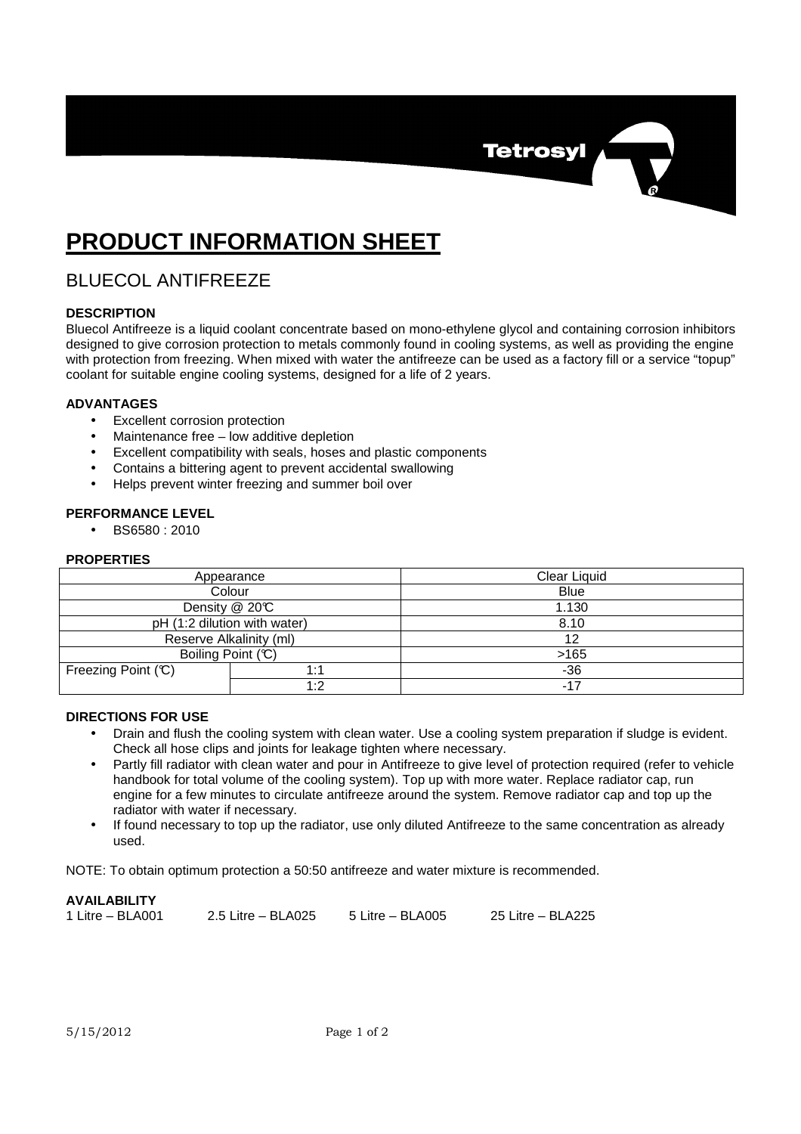

# **PRODUCT INFORMATION SHEET**

## BLUECOL ANTIFREEZE

### **DESCRIPTION**

Bluecol Antifreeze is a liquid coolant concentrate based on mono-ethylene glycol and containing corrosion inhibitors designed to give corrosion protection to metals commonly found in cooling systems, as well as providing the engine with protection from freezing. When mixed with water the antifreeze can be used as a factory fill or a service "topup" coolant for suitable engine cooling systems, designed for a life of 2 years.

### **ADVANTAGES**

- Excellent corrosion protection
- Maintenance free low additive depletion
- Excellent compatibility with seals, hoses and plastic components
- Contains a bittering agent to prevent accidental swallowing
- Helps prevent winter freezing and summer boil over

#### **PERFORMANCE LEVEL**

• BS6580 : 2010

#### **PROPERTIES**

| Appearance                   |     | Clear Liquid |
|------------------------------|-----|--------------|
| Colour                       |     | <b>Blue</b>  |
| Density @ 20°C               |     | 1.130        |
| pH (1:2 dilution with water) |     | 8.10         |
| Reserve Alkalinity (ml)      |     | 12           |
| Boiling Point (C)            |     | >165         |
| Freezing Point (C)           | 1:1 | $-36$        |
|                              | 1:2 | -17          |

### **DIRECTIONS FOR USE**

- Drain and flush the cooling system with clean water. Use a cooling system preparation if sludge is evident. Check all hose clips and joints for leakage tighten where necessary.
- Partly fill radiator with clean water and pour in Antifreeze to give level of protection required (refer to vehicle handbook for total volume of the cooling system). Top up with more water. Replace radiator cap, run engine for a few minutes to circulate antifreeze around the system. Remove radiator cap and top up the radiator with water if necessary.
- If found necessary to top up the radiator, use only diluted Antifreeze to the same concentration as already used.

NOTE: To obtain optimum protection a 50:50 antifreeze and water mixture is recommended.

### **AVAILABILITY**

| 1 Litre - BLA001 | 2.5 Litre $-$ BLA025 | 5 Litre - BLA005 | 25 Litre – BLA225 |
|------------------|----------------------|------------------|-------------------|
|------------------|----------------------|------------------|-------------------|